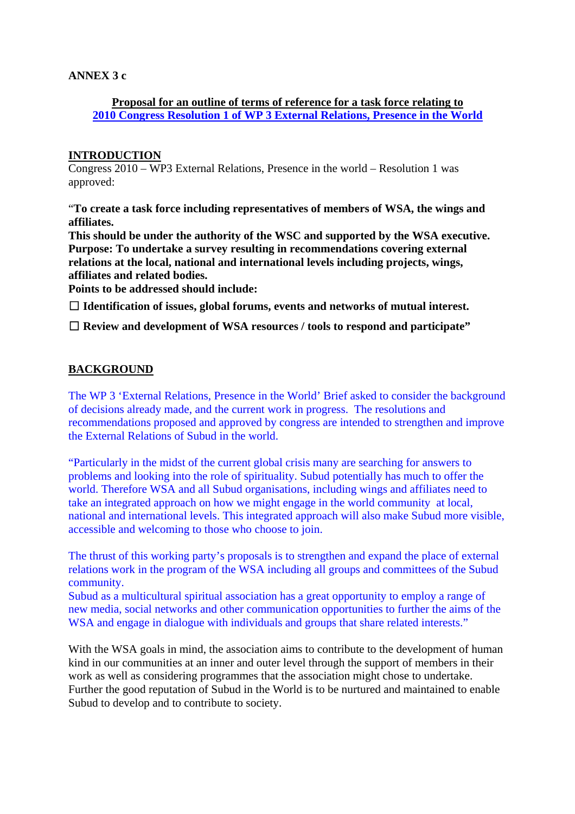### **ANNEX 3 c**

## **Proposal for an outline of terms of reference for a task force relating to 2010 Congress Resolution 1 of WP 3 External Relations, Presence in the World**

### **INTRODUCTION**

Congress 2010 – WP3 External Relations, Presence in the world – Resolution 1 was approved:

"**To create a task force including representatives of members of WSA, the wings and affiliates.** 

**This should be under the authority of the WSC and supported by the WSA executive. Purpose: To undertake a survey resulting in recommendations covering external relations at the local, national and international levels including projects, wings, affiliates and related bodies.** 

**Points to be addressed should include:** 

 **Identification of issues, global forums, events and networks of mutual interest.** 

□ Review and development of WSA resources / tools to respond and participate"

#### **BACKGROUND**

The WP 3 'External Relations, Presence in the World' Brief asked to consider the background of decisions already made, and the current work in progress. The resolutions and recommendations proposed and approved by congress are intended to strengthen and improve the External Relations of Subud in the world.

"Particularly in the midst of the current global crisis many are searching for answers to problems and looking into the role of spirituality. Subud potentially has much to offer the world. Therefore WSA and all Subud organisations, including wings and affiliates need to take an integrated approach on how we might engage in the world community at local, national and international levels. This integrated approach will also make Subud more visible, accessible and welcoming to those who choose to join.

The thrust of this working party's proposals is to strengthen and expand the place of external relations work in the program of the WSA including all groups and committees of the Subud community.

Subud as a multicultural spiritual association has a great opportunity to employ a range of new media, social networks and other communication opportunities to further the aims of the WSA and engage in dialogue with individuals and groups that share related interests."

With the WSA goals in mind, the association aims to contribute to the development of human kind in our communities at an inner and outer level through the support of members in their work as well as considering programmes that the association might chose to undertake. Further the good reputation of Subud in the World is to be nurtured and maintained to enable Subud to develop and to contribute to society.